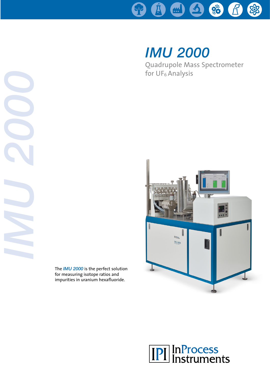

# *IMU 2000*

Quadrupole Mass Spectrometer for UF6 Analysis





*IMU 2000*

The *IMU 2000* is the perfect solution for measuring isotope ratios and impurities in uranium hexafluoride.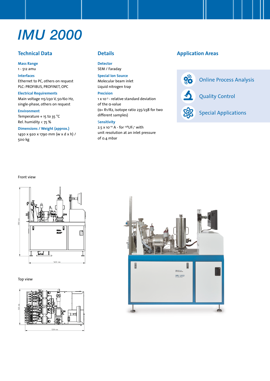## *IMU 2000*

#### **Technical Data**

**Mass Range**

### 1 - 512 amu

**Interfaces** Ethernet to PC, others on request PLC: PROFIBUS, PROFINET, OPC

**Electrical Requirements** Main voltage 115/230 V, 50/60 Hz, single-phase, others on request

**Environment**

Temperature  $+$  15 to 35 °C Rel. humidity < 75 %

#### **Dimensions / Weight (approx.)**

1450 x 920 x 1790 mm (w x d x h) / 500 kg

#### **Details**

**Detector** SEM / Faraday

**Special Ion Source**

Molecular beam inlet Liquid nitrogen trap

#### **Precision**

1 x 10-3 - relative standard deviation of the α-value (α= R1/R2, isotope ratio 235/238 for two different samples)

#### S**ensitivity**

2.5  $\times$  10<sup>-10</sup> A - for <sup>238</sup>UF<sub>5</sub><sup>+</sup> with unit resolution at an inlet pressure of 0.4 mbar

#### **Application Areas**





Special Applications

#### Front view



Top view



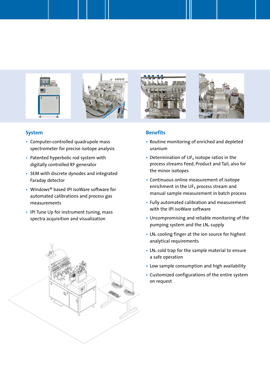

#### **System**

- Computer-controlled quadrupole mass spectrometer for precise isotope analysis
- Patented hyperbolic rod system with digitally controlled RF generator
- SEM with discrete dynodes and integrated Faraday detector
- Windows® based IPI isoWare software for automated calibrations and process gas measurements
- IPI Tune Up for instrument tuning, mass spectra acquisition and visualization



#### **Benefits**

- Routine monitoring of enriched and depleted uranium
- Determination of UF<sub>6</sub> isotope ratios in the process streams Feed, Product and Tail, also for the minor isotopes
- Continuous online measurement of isotope enrichment in the UF $_6$  process stream and manual sample measurement in batch process
- Fully automated calibration and measurement with the IPI isoWare software
- Uncompromising and reliable monitoring of the pumping system and the LN<sub>2</sub> supply
- LN<sub>2</sub> cooling finger at the ion source for highest analytical requirements
- $\cdot$  LN<sub>2</sub> cold trap for the sample material to ensure a safe operation
- Low sample consumption and high availability
- Customized configurations of the entire system on request